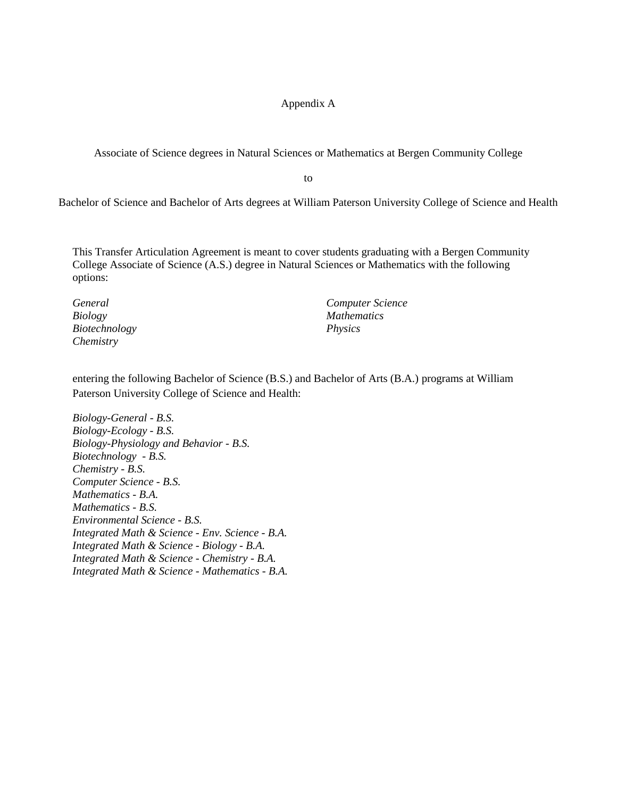## Appendix A

Associate of Science degrees in Natural Sciences or Mathematics at Bergen Community College

to

Bachelor of Science and Bachelor of Arts degrees at William Paterson University College of Science and Health

This Transfer Articulation Agreement is meant to cover students graduating with a Bergen Community College Associate of Science (A.S.) degree in Natural Sciences or Mathematics with the following options:

*General Biology Biotechnology Chemistry* 

*Computer Science Mathematics Physics*

entering the following Bachelor of Science (B.S.) and Bachelor of Arts (B.A.) programs at William Paterson University College of Science and Health:

*Biology-General - B.S. Biology-Ecology - B.S. Biology-Physiology and Behavior - B.S. Biotechnology - B.S. Chemistry - B.S. Computer Science - B.S. Mathematics - B.A. Mathematics - B.S. Environmental Science - B.S. Integrated Math & Science - Env. Science - B.A. Integrated Math & Science - Biology - B.A. Integrated Math & Science - Chemistry - B.A. Integrated Math & Science - Mathematics - B.A.*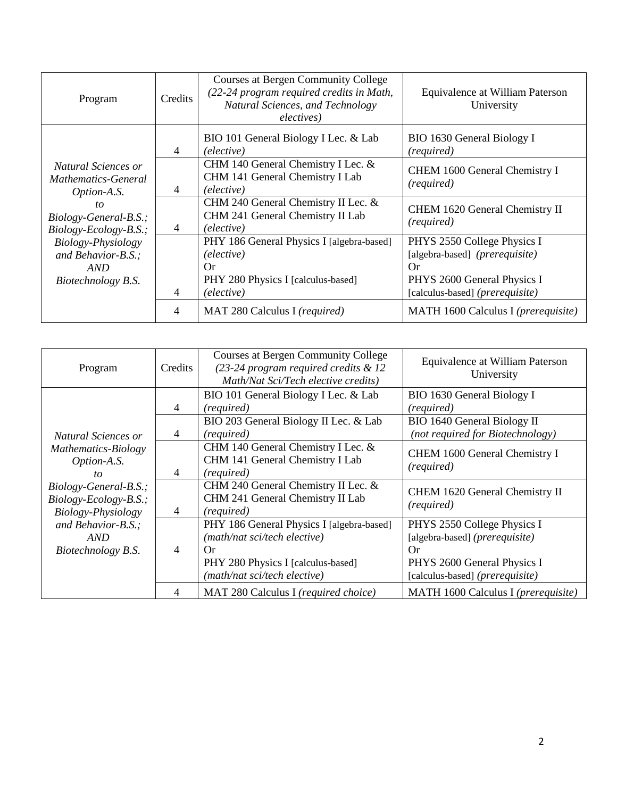| Program                                                               | Credits | Courses at Bergen Community College<br>(22-24 program required credits in Math,<br>Natural Sciences, and Technology<br>electives) | Equivalence at William Paterson<br>University                                                                |
|-----------------------------------------------------------------------|---------|-----------------------------------------------------------------------------------------------------------------------------------|--------------------------------------------------------------------------------------------------------------|
|                                                                       | 4       | BIO 101 General Biology I Lec. & Lab<br>(elective)                                                                                | BIO 1630 General Biology I<br>(required)                                                                     |
| Natural Sciences or<br><i>Mathematics-General</i><br>Option-A.S.      | 4       | CHM 140 General Chemistry I Lec. &<br>CHM 141 General Chemistry I Lab<br>(elective)                                               | CHEM 1600 General Chemistry I<br>(required)                                                                  |
| to<br>Biology-General-B.S.;<br>$Biology-Ecology-B.S.$ ;               | 4       | CHM 240 General Chemistry II Lec. &<br>CHM 241 General Chemistry II Lab<br>(elective)                                             | CHEM 1620 General Chemistry II<br>(required)                                                                 |
| Biology-Physiology<br>and Behavior-B.S.;<br>AND<br>Biotechnology B.S. |         | PHY 186 General Physics I [algebra-based]<br>(elective)<br>Or<br>PHY 280 Physics I [calculus-based]                               | PHYS 2550 College Physics I<br>[algebra-based] ( <i>prerequisite</i> )<br>Or.<br>PHYS 2600 General Physics I |
|                                                                       | 4<br>4  | (elective)<br>MAT 280 Calculus I (required)                                                                                       | [calculus-based] (prerequisite)<br>MATH 1600 Calculus I ( <i>prerequisite</i> )                              |

| Program               | Credits | <b>Courses at Bergen Community College</b><br>$(23-24)$ program required credits & 12<br>Math/Nat Sci/Tech elective credits) | Equivalence at William Paterson<br>University |
|-----------------------|---------|------------------------------------------------------------------------------------------------------------------------------|-----------------------------------------------|
|                       |         | BIO 101 General Biology I Lec. & Lab                                                                                         | BIO 1630 General Biology I                    |
|                       | 4       | (required)                                                                                                                   | (required)                                    |
|                       |         | BIO 203 General Biology II Lec. & Lab                                                                                        | BIO 1640 General Biology II                   |
| Natural Sciences or   | 4       | (required)                                                                                                                   | (not required for Biotechnology)              |
| Mathematics-Biology   |         | CHM 140 General Chemistry I Lec. &                                                                                           | CHEM 1600 General Chemistry I                 |
| Option-A.S.           |         | CHM 141 General Chemistry I Lab                                                                                              |                                               |
| to                    | 4       | (required)                                                                                                                   | (required)                                    |
| Biology-General-B.S.; |         | CHM 240 General Chemistry II Lec. &                                                                                          | CHEM 1620 General Chemistry II                |
| Biology-Ecology-B.S.; |         | CHM 241 General Chemistry II Lab                                                                                             |                                               |
| Biology-Physiology    | 4       | (required)                                                                                                                   | (required)                                    |
| and Behavior-B.S.;    |         | PHY 186 General Physics I [algebra-based]                                                                                    | PHYS 2550 College Physics I                   |
| AND                   |         | (math/nat sci/tech elective)                                                                                                 | [algebra-based] (prerequisite)                |
| Biotechnology B.S.    | 4       | Or                                                                                                                           | Or                                            |
|                       |         | PHY 280 Physics I [calculus-based]                                                                                           | PHYS 2600 General Physics I                   |
|                       |         | (math/nat sci/tech elective)                                                                                                 | [calculus-based] (prerequisite)               |
|                       | 4       | MAT 280 Calculus I (required choice)                                                                                         | MATH 1600 Calculus I (prerequisite)           |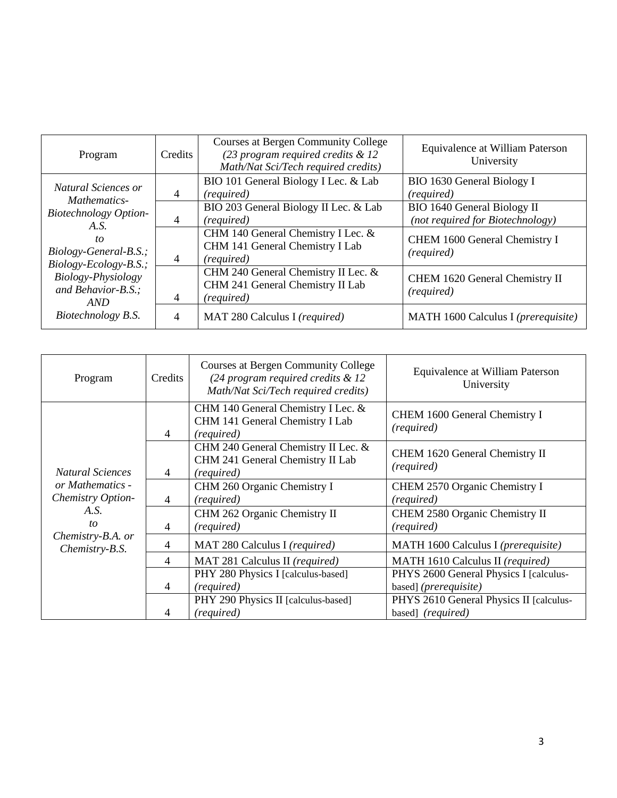| Program                                                                                                                                                                                                         | Credits        | <b>Courses at Bergen Community College</b><br>$(23$ program required credits & 12<br>Math/Nat Sci/Tech required credits) | Equivalence at William Paterson<br>University                   |
|-----------------------------------------------------------------------------------------------------------------------------------------------------------------------------------------------------------------|----------------|--------------------------------------------------------------------------------------------------------------------------|-----------------------------------------------------------------|
| Natural Sciences or<br>Mathematics-<br><b>Biotechnology Option-</b><br>A.S.<br>to<br>Biology-General-B.S.;<br>$Biology-Ecology-B.S.$ ;<br>Biology-Physiology<br>and Behavior-B.S.;<br>AND<br>Biotechnology B.S. | 4              | BIO 101 General Biology I Lec. & Lab<br>(required)                                                                       | BIO 1630 General Biology I<br>(required)                        |
|                                                                                                                                                                                                                 | 4              | BIO 203 General Biology II Lec. & Lab<br>(required)                                                                      | BIO 1640 General Biology II<br>(not required for Biotechnology) |
|                                                                                                                                                                                                                 | 4              | CHM 140 General Chemistry I Lec. &<br>CHM 141 General Chemistry I Lab<br>(required)                                      | CHEM 1600 General Chemistry I<br>(required)                     |
|                                                                                                                                                                                                                 | 4              | CHM 240 General Chemistry II Lec. &<br>CHM 241 General Chemistry II Lab<br>(required)                                    | CHEM 1620 General Chemistry II<br>(required)                    |
|                                                                                                                                                                                                                 | $\overline{4}$ | MAT 280 Calculus I (required)                                                                                            | MATH 1600 Calculus I ( <i>prerequisite</i> )                    |

| Program                                                                                                               | Credits        | <b>Courses at Bergen Community College</b><br>$(24$ program required credits & 12<br>Math/Nat Sci/Tech required credits) | Equivalence at William Paterson<br>University                            |
|-----------------------------------------------------------------------------------------------------------------------|----------------|--------------------------------------------------------------------------------------------------------------------------|--------------------------------------------------------------------------|
| <b>Natural Sciences</b><br>or Mathematics -<br>Chemistry Option-<br>A.S.<br>to<br>Chemistry-B.A. or<br>Chemistry-B.S. | $\overline{4}$ | CHM 140 General Chemistry I Lec. &<br>CHM 141 General Chemistry I Lab<br>(required)                                      | CHEM 1600 General Chemistry I<br>(required)                              |
|                                                                                                                       | $\overline{4}$ | CHM 240 General Chemistry II Lec. &<br>CHM 241 General Chemistry II Lab<br>(required)                                    | CHEM 1620 General Chemistry II<br>(required)                             |
|                                                                                                                       | 4              | CHM 260 Organic Chemistry I<br>(required)                                                                                | CHEM 2570 Organic Chemistry I<br>(required)                              |
|                                                                                                                       | 4              | CHM 262 Organic Chemistry II<br>(required)                                                                               | CHEM 2580 Organic Chemistry II<br>(required)                             |
|                                                                                                                       | $\overline{4}$ | MAT 280 Calculus I (required)                                                                                            | MATH 1600 Calculus I (prerequisite)                                      |
|                                                                                                                       | $\overline{4}$ | MAT 281 Calculus II (required)                                                                                           | MATH 1610 Calculus II (required)                                         |
|                                                                                                                       | 4              | PHY 280 Physics I [calculus-based]<br>(required)                                                                         | PHYS 2600 General Physics I [calculus-<br>based] ( <i>prerequisite</i> ) |
|                                                                                                                       | 4              | PHY 290 Physics II [calculus-based]<br>(required)                                                                        | PHYS 2610 General Physics II [calculus-<br>based] (required)             |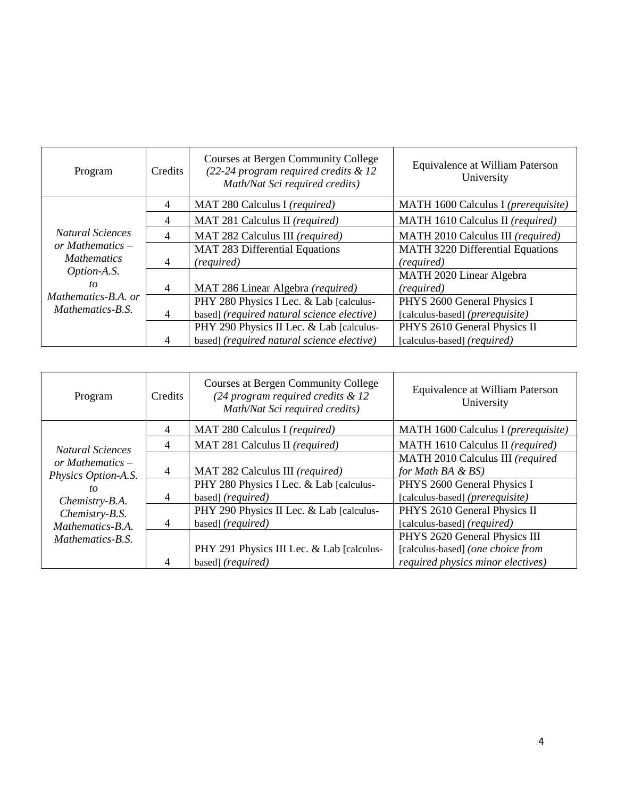| Program                                                                                                  | Credits        | <b>Courses at Bergen Community College</b><br>(22-24 program required credits & 12<br>Math/Nat Sci required credits) | Equivalence at William Paterson<br>University |
|----------------------------------------------------------------------------------------------------------|----------------|----------------------------------------------------------------------------------------------------------------------|-----------------------------------------------|
|                                                                                                          | $\overline{4}$ | MAT 280 Calculus I (required)                                                                                        | MATH 1600 Calculus I (prerequisite)           |
|                                                                                                          | 4              | MAT 281 Calculus II (required)                                                                                       | MATH 1610 Calculus II (required)              |
| <b>Natural Sciences</b>                                                                                  | $\overline{4}$ | MAT 282 Calculus III (required)                                                                                      | MATH 2010 Calculus III (required)             |
| or Mathematics $-$<br><b>Mathematics</b><br>Option-A.S.<br>to<br>Mathematics-B.A. or<br>Mathematics-B.S. |                | MAT 283 Differential Equations                                                                                       | <b>MATH 3220 Differential Equations</b>       |
|                                                                                                          | $\overline{4}$ | (required)                                                                                                           | (required)                                    |
|                                                                                                          |                |                                                                                                                      | MATH 2020 Linear Algebra                      |
|                                                                                                          | $\overline{4}$ | MAT 286 Linear Algebra (required)                                                                                    | (required)                                    |
|                                                                                                          |                | PHY 280 Physics I Lec. & Lab [calculus-                                                                              | PHYS 2600 General Physics I                   |
|                                                                                                          | $\overline{4}$ | based] (required natural science elective)                                                                           | [calculus-based] (prerequisite)               |
|                                                                                                          |                | PHY 290 Physics II Lec. & Lab [calculus-                                                                             | PHYS 2610 General Physics II                  |
|                                                                                                          | $\overline{4}$ | based] (required natural science elective)                                                                           | [calculus-based] (required)                   |

| Program                                                                                                                            | Credits | <b>Courses at Bergen Community College</b><br>$(24$ program required credits & 12<br>Math/Nat Sci required credits) | Equivalence at William Paterson<br>University                      |
|------------------------------------------------------------------------------------------------------------------------------------|---------|---------------------------------------------------------------------------------------------------------------------|--------------------------------------------------------------------|
|                                                                                                                                    | 4       | MAT 280 Calculus I (required)                                                                                       | MATH 1600 Calculus I (prerequisite)                                |
| <b>Natural Sciences</b>                                                                                                            | 4       | MAT 281 Calculus II (required)                                                                                      | MATH 1610 Calculus II (required)                                   |
| or Mathematics $-$<br>Physics Option-A.S.<br>to<br>Chemistry-B.A.<br>Chemistry-B.S.<br>Mathematics-B.A.<br><i>Mathematics-B.S.</i> | 4       | MAT 282 Calculus III (required)                                                                                     | MATH 2010 Calculus III (required<br>for Math BA $\&$ BS)           |
|                                                                                                                                    | 4       | PHY 280 Physics I Lec. & Lab [calculus-<br>based] (required)                                                        | PHYS 2600 General Physics I<br>[calculus-based] (prerequisite)     |
|                                                                                                                                    | 4       | PHY 290 Physics II Lec. & Lab [calculus-<br>based] (required)                                                       | PHYS 2610 General Physics II<br>[calculus-based] (required)        |
|                                                                                                                                    |         | PHY 291 Physics III Lec. & Lab [calculus-                                                                           | PHYS 2620 General Physics III<br>[calculus-based] (one choice from |
|                                                                                                                                    | 4       | based] (required)                                                                                                   | required physics minor electives)                                  |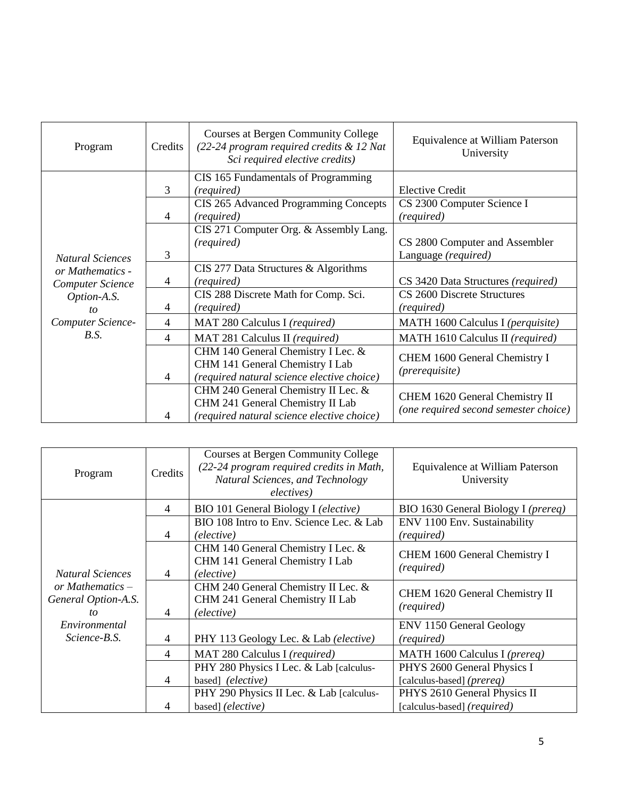| Program                                                                               | Credits        | <b>Courses at Bergen Community College</b><br>(22-24 program required credits & 12 Nat<br>Sci required elective credits) | Equivalence at William Paterson<br>University                           |
|---------------------------------------------------------------------------------------|----------------|--------------------------------------------------------------------------------------------------------------------------|-------------------------------------------------------------------------|
|                                                                                       | 3              | CIS 165 Fundamentals of Programming<br>(required)<br>CIS 265 Advanced Programming Concepts                               | <b>Elective Credit</b><br>CS 2300 Computer Science I                    |
|                                                                                       | 4              | (required)                                                                                                               | (required)                                                              |
| <b>Natural Sciences</b><br>or Mathematics -<br><b>Computer Science</b><br>Option-A.S. | 3              | CIS 271 Computer Org. & Assembly Lang.<br>(required)                                                                     | CS 2800 Computer and Assembler<br>Language (required)                   |
|                                                                                       | 4<br>4         | CIS 277 Data Structures & Algorithms<br>(required)<br>CIS 288 Discrete Math for Comp. Sci.                               | CS 3420 Data Structures (required)<br>CS 2600 Discrete Structures       |
| to<br>Computer Science-                                                               | $\overline{4}$ | (required)<br>MAT 280 Calculus I (required)                                                                              | (required)<br>MATH 1600 Calculus I (perquisite)                         |
| B.S.                                                                                  | $\overline{4}$ | MAT 281 Calculus II (required)                                                                                           | MATH 1610 Calculus II (required)                                        |
|                                                                                       | $\overline{4}$ | CHM 140 General Chemistry I Lec. &<br>CHM 141 General Chemistry I Lab<br>(required natural science elective choice)      | CHEM 1600 General Chemistry I<br>(prerequisite)                         |
|                                                                                       | 4              | CHM 240 General Chemistry II Lec. &<br>CHM 241 General Chemistry II Lab<br>(required natural science elective choice)    | CHEM 1620 General Chemistry II<br>(one required second semester choice) |

| Program                                         | Credits        | Courses at Bergen Community College<br>(22-24 program required credits in Math,<br>Natural Sciences, and Technology<br>electives) | Equivalence at William Paterson<br>University               |
|-------------------------------------------------|----------------|-----------------------------------------------------------------------------------------------------------------------------------|-------------------------------------------------------------|
|                                                 | $\overline{4}$ | BIO 101 General Biology I (elective)                                                                                              | BIO 1630 General Biology I ( <i>prereq</i> )                |
|                                                 | $\overline{4}$ | BIO 108 Intro to Env. Science Lec. & Lab<br>(elective)                                                                            | ENV 1100 Env. Sustainability<br>(required)                  |
| <b>Natural Sciences</b>                         | $\overline{4}$ | CHM 140 General Chemistry I Lec. &<br>CHM 141 General Chemistry I Lab<br>(elective)                                               | CHEM 1600 General Chemistry I<br>(required)                 |
| or Mathematics $-$<br>General Option-A.S.<br>to | 4              | CHM 240 General Chemistry II Lec. &<br>CHM 241 General Chemistry II Lab<br>(elective)                                             | CHEM 1620 General Chemistry II<br>(required)                |
| Environmental<br>Science-B.S.                   | $\overline{4}$ | PHY 113 Geology Lec. & Lab (elective)                                                                                             | <b>ENV 1150 General Geology</b><br>(required)               |
|                                                 | $\overline{4}$ | MAT 280 Calculus I (required)                                                                                                     | MATH 1600 Calculus I (prereq)                               |
|                                                 | $\overline{4}$ | PHY 280 Physics I Lec. & Lab [calculus-<br>based] (elective)                                                                      | PHYS 2600 General Physics I<br>[calculus-based] (prereq)    |
|                                                 | 4              | PHY 290 Physics II Lec. & Lab [calculus-<br>based] (elective)                                                                     | PHYS 2610 General Physics II<br>[calculus-based] (required) |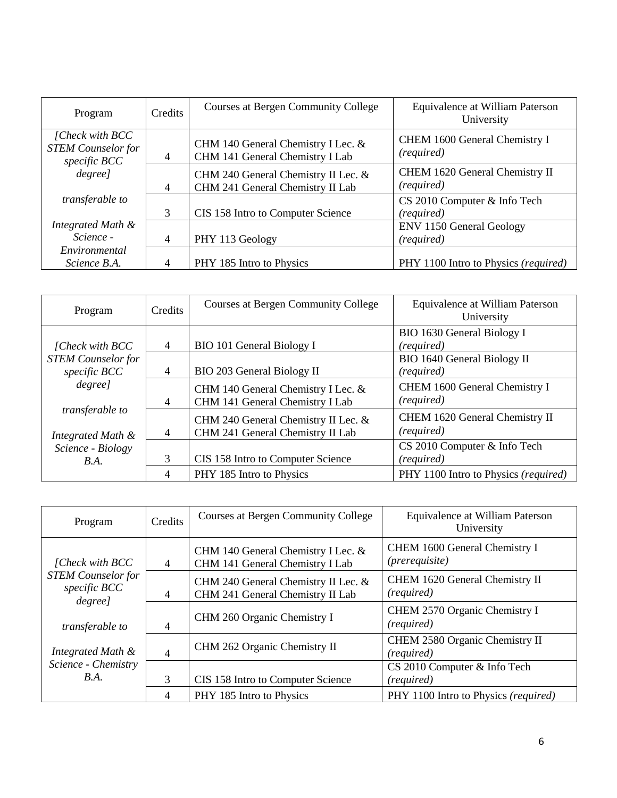| Program                                                       | Credits        | Courses at Bergen Community College                                     | Equivalence at William Paterson<br>University |
|---------------------------------------------------------------|----------------|-------------------------------------------------------------------------|-----------------------------------------------|
| [Check with BCC]<br><b>STEM Counselor for</b><br>specific BCC | $\overline{4}$ | CHM 140 General Chemistry I Lec. &<br>CHM 141 General Chemistry I Lab   | CHEM 1600 General Chemistry I<br>(required)   |
| degree]                                                       | $\overline{4}$ | CHM 240 General Chemistry II Lec. &<br>CHM 241 General Chemistry II Lab | CHEM 1620 General Chemistry II<br>(required)  |
| <i>transferable to</i>                                        | 3              | CIS 158 Intro to Computer Science                                       | CS 2010 Computer & Info Tech<br>(required)    |
| Integrated Math &<br>Science -                                | $\overline{4}$ | PHY 113 Geology                                                         | <b>ENV 1150 General Geology</b><br>(required) |
| Environmental<br>Science B.A.                                 | 4              | PHY 185 Intro to Physics                                                | PHY 1100 Intro to Physics (required)          |

| Program                   | Credits        | Courses at Bergen Community College | Equivalence at William Paterson<br>University |
|---------------------------|----------------|-------------------------------------|-----------------------------------------------|
|                           |                |                                     | BIO 1630 General Biology I                    |
| [Check with BCC]          | $\overline{4}$ | BIO 101 General Biology I           | (required)                                    |
| <b>STEM</b> Counselor for |                |                                     | BIO 1640 General Biology II                   |
| specific BCC              | $\overline{4}$ | BIO 203 General Biology II          | (required)                                    |
| degree]                   |                | CHM 140 General Chemistry I Lec. &  | CHEM 1600 General Chemistry I                 |
|                           | $\overline{4}$ | CHM 141 General Chemistry I Lab     | (required)                                    |
| transferable to           |                | CHM 240 General Chemistry II Lec. & | CHEM 1620 General Chemistry II                |
| Integrated Math &         | $\overline{4}$ | CHM 241 General Chemistry II Lab    | (required)                                    |
| Science - Biology         |                |                                     | CS 2010 Computer & Info Tech                  |
| B.A.                      | 3              | CIS 158 Intro to Computer Science   | (required)                                    |
|                           | $\overline{4}$ | PHY 185 Intro to Physics            | PHY 1100 Intro to Physics (required)          |

| Program                                              | Credits        | Courses at Bergen Community College                                     | Equivalence at William Paterson<br>University |
|------------------------------------------------------|----------------|-------------------------------------------------------------------------|-----------------------------------------------|
| [Check with BCC]                                     | $\overline{4}$ | CHM 140 General Chemistry I Lec. &<br>CHM 141 General Chemistry I Lab   | CHEM 1600 General Chemistry I<br>(prerequire) |
| <b>STEM</b> Counselor for<br>specific BCC<br>degree] | $\overline{4}$ | CHM 240 General Chemistry II Lec. &<br>CHM 241 General Chemistry II Lab | CHEM 1620 General Chemistry II<br>(required)  |
| transferable to                                      | $\overline{4}$ | CHM 260 Organic Chemistry I                                             | CHEM 2570 Organic Chemistry I<br>(required)   |
| Integrated Math &                                    | $\overline{4}$ | CHM 262 Organic Chemistry II                                            | CHEM 2580 Organic Chemistry II<br>(required)  |
| Science - Chemistry<br>B.A.                          |                |                                                                         | CS 2010 Computer & Info Tech                  |
|                                                      | 3              | CIS 158 Intro to Computer Science                                       | (required)                                    |
|                                                      | 4              | PHY 185 Intro to Physics                                                | PHY 1100 Intro to Physics (required)          |